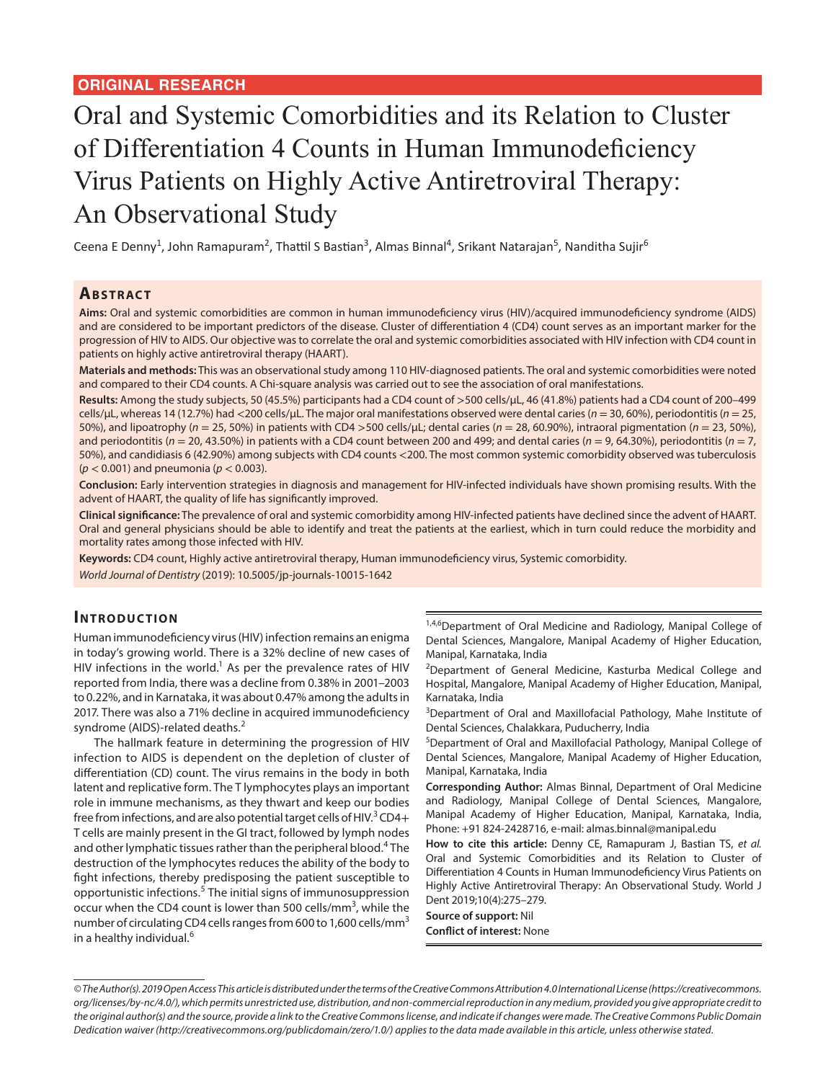# Oral and Systemic Comorbidities and its Relation to Cluster of Differentiation 4 Counts in Human Immunodeficiency Virus Patients on Highly Active Antiretroviral Therapy: An Observational Study

Ceena E Denny<sup>1</sup>, John Ramapuram<sup>2</sup>, Thattil S Bastian<sup>3</sup>, Almas Binnal<sup>4</sup>, Srikant Natarajan<sup>5</sup>, Nanditha Sujir<sup>6</sup>

### **ABSTRACT**

**Aims:** Oral and systemic comorbidities are common in human immunodeficiency virus (HIV)/acquired immunodeficiency syndrome (AIDS) and are considered to be important predictors of the disease. Cluster of differentiation 4 (CD4) count serves as an important marker for the progression of HIV to AIDS. Our objective was to correlate the oral and systemic comorbidities associated with HIV infection with CD4 count in patients on highly active antiretroviral therapy (HAART).

**Materials and methods:** This was an observational study among 110 HIV-diagnosed patients. The oral and systemic comorbidities were noted and compared to their CD4 counts. A Chi-square analysis was carried out to see the association of oral manifestations.

**Results:** Among the study subjects, 50 (45.5%) participants had a CD4 count of >500 cells/μL, 46 (41.8%) patients had a CD4 count of 200–499 cells/μL, whereas 14 (12.7%) had <200 cells/μL. The major oral manifestations observed were dental caries (*n* = 30, 60%), periodontitis (*n* = 25, 50%), and lipoatrophy (*n* = 25, 50%) in patients with CD4 >500 cells/μL; dental caries (*n* = 28, 60.90%), intraoral pigmentation (*n* = 23, 50%), and periodontitis (*n* = 20, 43.50%) in patients with a CD4 count between 200 and 499; and dental caries (*n* = 9, 64.30%), periodontitis (*n* = 7, 50%), and candidiasis 6 (42.90%) among subjects with CD4 counts <200. The most common systemic comorbidity observed was tuberculosis (*p* < 0.001) and pneumonia (*p* < 0.003).

**Conclusion:** Early intervention strategies in diagnosis and management for HIV-infected individuals have shown promising results. With the advent of HAART, the quality of life has significantly improved.

**Clinical significance:** The prevalence of oral and systemic comorbidity among HIV-infected patients have declined since the advent of HAART. Oral and general physicians should be able to identify and treat the patients at the earliest, which in turn could reduce the morbidity and mortality rates among those infected with HIV.

**Keywords:** CD4 count, Highly active antiretroviral therapy, Human immunodeficiency virus, Systemic comorbidity. *World Journal of Dentistry* (2019): 10.5005/jp-journals-10015-1642

### **INTRODUCTION**

Human immunodeficiency virus (HIV) infection remains an enigma in today's growing world. There is a 32% decline of new cases of HIV infections in the world.<sup>1</sup> As per the prevalence rates of HIV reported from India, there was a decline from 0.38% in 2001–2003 to 0.22%, and in Karnataka, it was about 0.47% among the adults in 2017. There was also a 71% decline in acquired immunodeficiency syndrome (AIDS)-related deaths.<sup>2</sup>

The hallmark feature in determining the progression of HIV infection to AIDS is dependent on the depletion of cluster of differentiation (CD) count. The virus remains in the body in both latent and replicative form. The T lymphocytes plays an important role in immune mechanisms, as they thwart and keep our bodies free from infections, and are also potential target cells of HIV. $^3$ CD4+ T cells are mainly present in the GI tract, followed by lymph nodes and other lymphatic tissues rather than the peripheral blood.<sup>4</sup> The destruction of the lymphocytes reduces the ability of the body to fight infections, thereby predisposing the patient susceptible to opportunistic infections.<sup>5</sup> The initial signs of immunosuppression occur when the CD4 count is lower than 500 cells/mm<sup>3</sup>, while the number of circulating CD4 cells ranges from 600 to 1,600 cells/mm<sup>3</sup> in a healthy individual.<sup>6</sup>

1,4,6 Department of Oral Medicine and Radiology, Manipal College of Dental Sciences, Mangalore, Manipal Academy of Higher Education, Manipal, Karnataka, India

<sup>2</sup>Department of General Medicine, Kasturba Medical College and Hospital, Mangalore, Manipal Academy of Higher Education, Manipal, Karnataka, India

<sup>3</sup>Department of Oral and Maxillofacial Pathology, Mahe Institute of Dental Sciences, Chalakkara, Puducherry, India

5 Department of Oral and Maxillofacial Pathology, Manipal College of Dental Sciences, Mangalore, Manipal Academy of Higher Education, Manipal, Karnataka, India

**Corresponding Author:** Almas Binnal, Department of Oral Medicine and Radiology, Manipal College of Dental Sciences, Mangalore, Manipal Academy of Higher Education, Manipal, Karnataka, India, Phone: +91 824-2428716, e-mail: almas.binnal@manipal.edu

**How to cite this article:** Denny CE, Ramapuram J, Bastian TS, *et al.* Oral and Systemic Comorbidities and its Relation to Cluster of Differentiation 4 Counts in Human Immunodeficiency Virus Patients on Highly Active Antiretroviral Therapy: An Observational Study. World J Dent 2019;10(4):275–279.

**Source of support:** Nil **Conflict of interest:** None

*<sup>©</sup> The Author(s). 2019 Open Access This article is distributed under the terms of the Creative Commons Attribution 4.0 International License (https://creativecommons. org/licenses/by-nc/4.0/), which permits unrestricted use, distribution, and non-commercial reproduction in any medium, provided you give appropriate credit to the original author(s) and the source, provide a link to the Creative Commons license, and indicate if changes were made. The Creative Commons Public Domain Dedication waiver (http://creativecommons.org/publicdomain/zero/1.0/) applies to the data made available in this article, unless otherwise stated.*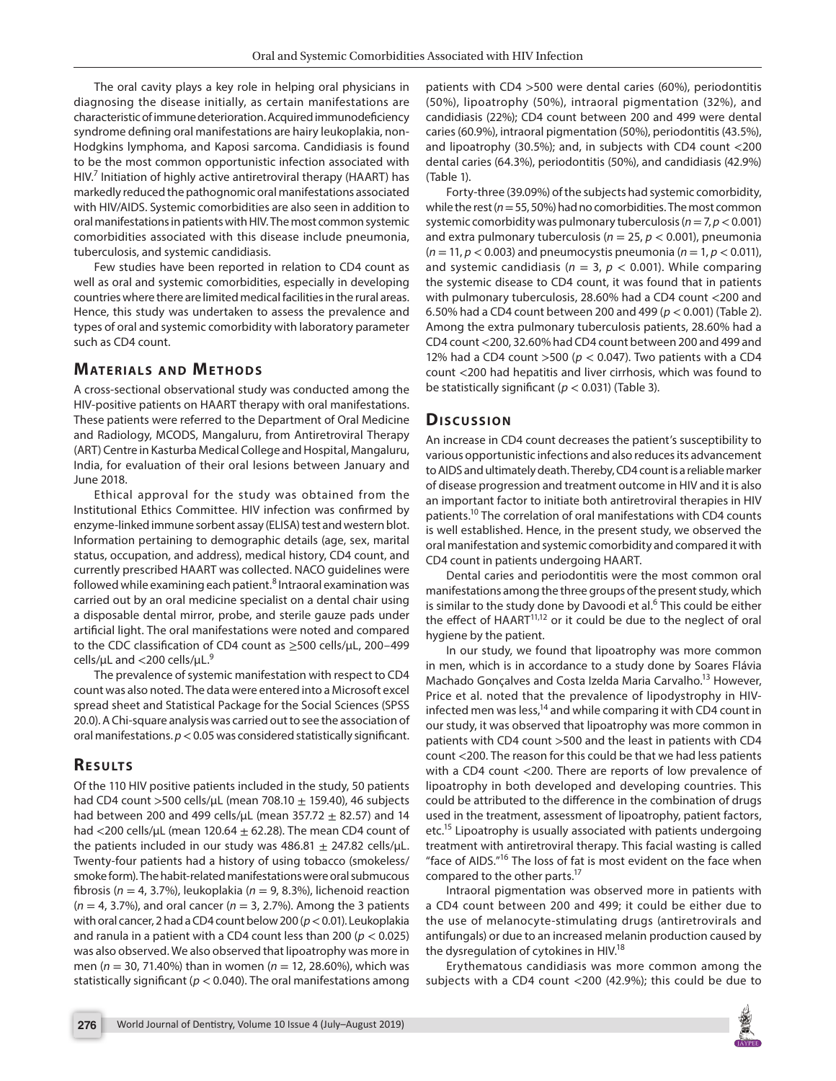The oral cavity plays a key role in helping oral physicians in diagnosing the disease initially, as certain manifestations are characteristic of immune deterioration. Acquired immunodeficiency syndrome defining oral manifestations are hairy leukoplakia, non-Hodgkins lymphoma, and Kaposi sarcoma. Candidiasis is found to be the most common opportunistic infection associated with  $HIV<sup>7</sup>$  Initiation of highly active antiretroviral therapy (HAART) has markedly reduced the pathognomic oral manifestations associated with HIV/AIDS. Systemic comorbidities are also seen in addition to oral manifestations in patients with HIV. The most common systemic comorbidities associated with this disease include pneumonia, tuberculosis, and systemic candidiasis.

Few studies have been reported in relation to CD4 count as well as oral and systemic comorbidities, especially in developing countries where there are limited medical facilities in the rural areas. Hence, this study was undertaken to assess the prevalence and types of oral and systemic comorbidity with laboratory parameter such as CD4 count.

#### **MATERIALS AND METHODS**

A cross-sectional observational study was conducted among the HIV-positive patients on HAART therapy with oral manifestations. These patients were referred to the Department of Oral Medicine and Radiology, MCODS, Mangaluru, from Antiretroviral Therapy (ART) Centre in Kasturba Medical College and Hospital, Mangaluru, India, for evaluation of their oral lesions between January and June 2018.

Ethical approval for the study was obtained from the Institutional Ethics Committee. HIV infection was confirmed by enzyme-linked immune sorbent assay (ELISA) test and western blot. Information pertaining to demographic details (age, sex, marital status, occupation, and address), medical history, CD4 count, and currently prescribed HAART was collected. NACO guidelines were followed while examining each patient.<sup>8</sup> Intraoral examination was carried out by an oral medicine specialist on a dental chair using a disposable dental mirror, probe, and sterile gauze pads under artificial light. The oral manifestations were noted and compared to the CDC classification of CD4 count as ≥500 cells/μL, 200–499 cells/μL and <200 cells/μL.<sup>9</sup>

The prevalence of systemic manifestation with respect to CD4 count was also noted. The data were entered into a Microsoft excel spread sheet and Statistical Package for the Social Sciences (SPSS 20.0). A Chi-square analysis was carried out to see the association of oral manifestations. *p*< 0.05 was considered statistically significant.

# **RESULTS**

Of the 110 HIV positive patients included in the study, 50 patients had CD4 count >500 cells/ $\mu$ L (mean 708.10  $\pm$  159.40), 46 subjects had between 200 and 499 cells/μL (mean 357.72  $\pm$  82.57) and 14 had <200 cells/ $\mu$ L (mean 120.64  $\pm$  62.28). The mean CD4 count of the patients included in our study was  $486.81 \pm 247.82$  cells/ $\mu$ L. Twenty-four patients had a history of using tobacco (smokeless/ smoke form). The habit-related manifestations were oral submucous fibrosis (*n* = 4, 3.7%), leukoplakia (*n* = 9, 8.3%), lichenoid reaction (*n* = 4, 3.7%), and oral cancer (*n* = 3, 2.7%). Among the 3 patients with oral cancer, 2 had a CD4 count below 200 (*p*< 0.01). Leukoplakia and ranula in a patient with a CD4 count less than 200 (*p* < 0.025) was also observed. We also observed that lipoatrophy was more in men (*n* = 30, 71.40%) than in women (*n* = 12, 28.60%), which was statistically significant (*p* < 0.040). The oral manifestations among

patients with CD4 >500 were dental caries (60%), periodontitis (50%), lipoatrophy (50%), intraoral pigmentation (32%), and candidiasis (22%); CD4 count between 200 and 499 were dental caries (60.9%), intraoral pigmentation (50%), periodontitis (43.5%), and lipoatrophy (30.5%); and, in subjects with CD4 count <200 dental caries (64.3%), periodontitis (50%), and candidiasis (42.9%) (Table 1).

Forty-three (39.09%) of the subjects had systemic comorbidity, while the rest (*n*= 55, 50%) had no comorbidities. The most common systemic comorbidity was pulmonary tuberculosis (*n*= 7, *p*< 0.001) and extra pulmonary tuberculosis (*n* = 25, *p* < 0.001), pneumonia  $(n = 11, p < 0.003)$  and pneumocystis pneumonia  $(n = 1, p < 0.011)$ , and systemic candidiasis ( $n = 3$ ,  $p < 0.001$ ). While comparing the systemic disease to CD4 count, it was found that in patients with pulmonary tuberculosis, 28.60% had a CD4 count <200 and 6.50% had a CD4 count between 200 and 499 (*p* < 0.001) (Table 2). Among the extra pulmonary tuberculosis patients, 28.60% had a CD4 count <200, 32.60% had CD4 count between 200 and 499 and 12% had a CD4 count >500 (*p* < 0.047). Two patients with a CD4 count <200 had hepatitis and liver cirrhosis, which was found to be statistically significant (*p* < 0.031) (Table 3).

### **Dis c u s sio n**

An increase in CD4 count decreases the patient's susceptibility to various opportunistic infections and also reduces its advancement to AIDS and ultimately death. Thereby, CD4 count is a reliable marker of disease progression and treatment outcome in HIV and it is also an important factor to initiate both antiretroviral therapies in HIV patients.10 The correlation of oral manifestations with CD4 counts is well established. Hence, in the present study, we observed the oral manifestation and systemic comorbidity and compared it with CD4 count in patients undergoing HAART.

Dental caries and periodontitis were the most common oral manifestations among the three groups of the present study, which is similar to the study done by Davoodi et al.<sup>6</sup> This could be either the effect of  $HAART^{11,12}$  or it could be due to the neglect of oral hygiene by the patient.

In our study, we found that lipoatrophy was more common in men, which is in accordance to a study done by Soares Flávia Machado Gonçalves and Costa Izelda Maria Carvalho.<sup>13</sup> However, Price et al. noted that the prevalence of lipodystrophy in HIVinfected men was less,<sup>14</sup> and while comparing it with CD4 count in our study, it was observed that lipoatrophy was more common in patients with CD4 count >500 and the least in patients with CD4 count <200. The reason for this could be that we had less patients with a CD4 count <200. There are reports of low prevalence of lipoatrophy in both developed and developing countries. This could be attributed to the difference in the combination of drugs used in the treatment, assessment of lipoatrophy, patient factors, etc.<sup>15</sup> Lipoatrophy is usually associated with patients undergoing treatment with antiretroviral therapy. This facial wasting is called "face of AIDS."16 The loss of fat is most evident on the face when compared to the other parts.<sup>17</sup>

Intraoral pigmentation was observed more in patients with a CD4 count between 200 and 499; it could be either due to the use of melanocyte-stimulating drugs (antiretrovirals and antifungals) or due to an increased melanin production caused by the dysregulation of cytokines in  $HIV.<sup>18</sup>$ 

Erythematous candidiasis was more common among the subjects with a CD4 count <200 (42.9%); this could be due to

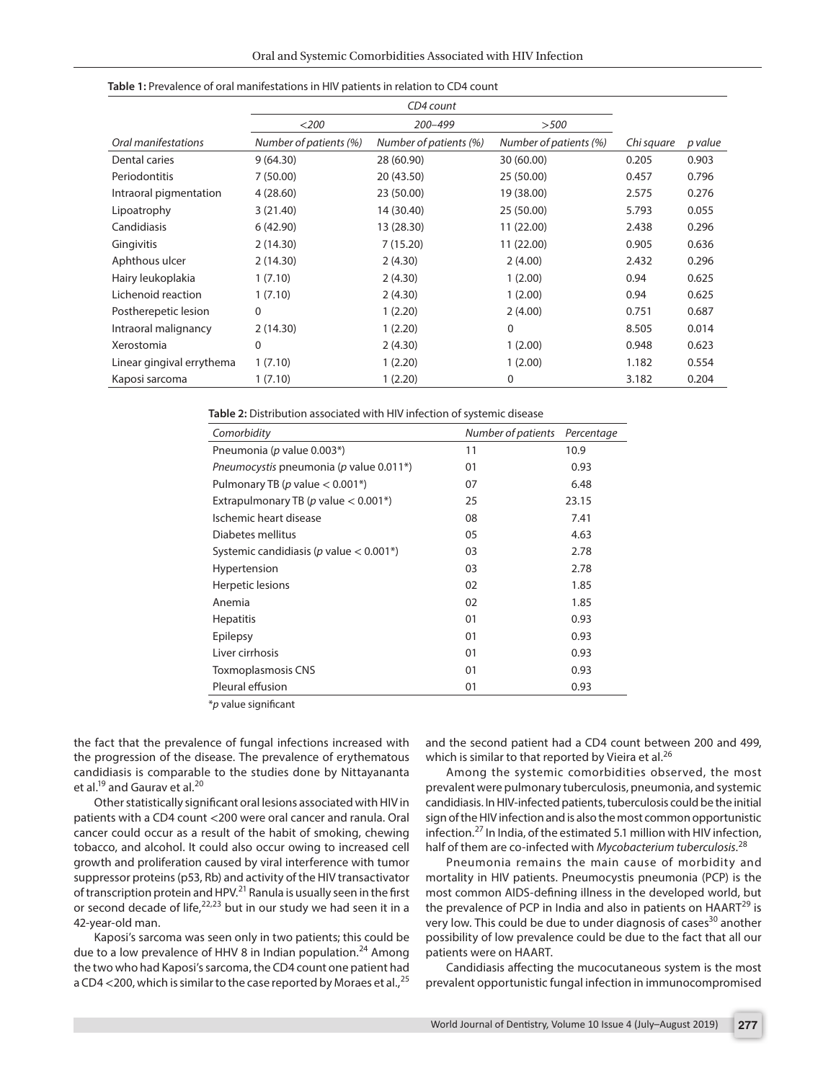|                           | CD4 count              |                        |                        |            |         |
|---------------------------|------------------------|------------------------|------------------------|------------|---------|
|                           | $<$ 200                | 200-499                | >500                   |            |         |
| Oral manifestations       | Number of patients (%) | Number of patients (%) | Number of patients (%) | Chi square | p value |
| Dental caries             | 9(64.30)               | 28 (60.90)             | 30 (60.00)             | 0.205      | 0.903   |
| Periodontitis             | 7(50.00)               | 20 (43.50)             | 25 (50.00)             | 0.457      | 0.796   |
| Intraoral pigmentation    | 4(28.60)               | 23 (50.00)             | 19 (38.00)             | 2.575      | 0.276   |
| Lipoatrophy               | 3(21.40)               | 14 (30.40)             | 25 (50.00)             | 5.793      | 0.055   |
| Candidiasis               | 6(42.90)               | 13 (28.30)             | 11 (22.00)             | 2.438      | 0.296   |
| Gingivitis                | 2(14.30)               | 7(15.20)               | 11 (22.00)             | 0.905      | 0.636   |
| Aphthous ulcer            | 2(14.30)               | 2(4.30)                | 2(4.00)                | 2.432      | 0.296   |
| Hairy leukoplakia         | 1(7.10)                | 2(4.30)                | 1(2.00)                | 0.94       | 0.625   |
| Lichenoid reaction        | 1(7.10)                | 2(4.30)                | 1(2.00)                | 0.94       | 0.625   |
| Postherepetic lesion      | 0                      | 1(2.20)                | 2(4.00)                | 0.751      | 0.687   |
| Intraoral malignancy      | 2(14.30)               | 1(2.20)                | $\Omega$               | 8.505      | 0.014   |
| Xerostomia                | 0                      | 2(4.30)                | 1(2.00)                | 0.948      | 0.623   |
| Linear gingival errythema | 1(7.10)                | 1(2.20)                | 1(2.00)                | 1.182      | 0.554   |
| Kaposi sarcoma            | 1(7.10)                | 1(2.20)                | 0                      | 3.182      | 0.204   |

| Table 1: Prevalence of oral manifestations in HIV patients in relation to CD4 count |  |  |  |
|-------------------------------------------------------------------------------------|--|--|--|
|-------------------------------------------------------------------------------------|--|--|--|

**Table 2:** Distribution associated with HIV infection of systemic disease

| Comorbidity                                    | Number of patients | Percentage |
|------------------------------------------------|--------------------|------------|
| Pneumonia (p value 0.003*)                     | 11                 | 10.9       |
| Pneumocystis pneumonia (p value 0.011*)        | 01                 | 0.93       |
| Pulmonary TB (p value $< 0.001$ <sup>*</sup> ) | 07                 | 6.48       |
| Extrapulmonary TB (p value $< 0.001^*$ )       | 25                 | 23.15      |
| Ischemic heart disease                         | 08                 | 7.41       |
| Diabetes mellitus                              | 05                 | 4.63       |
| Systemic candidiasis (p value $< 0.001^*$ )    | 03                 | 2.78       |
| Hypertension                                   | 03                 | 2.78       |
| Herpetic lesions                               | 02                 | 1.85       |
| Anemia                                         | 02                 | 1.85       |
| <b>Hepatitis</b>                               | 01                 | 0.93       |
| Epilepsy                                       | 01                 | 0.93       |
| Liver cirrhosis                                | 01                 | 0.93       |
| Toxmoplasmosis CNS                             | 01                 | 0.93       |
| Pleural effusion                               | 01                 | 0.93       |

\**p* value significant

the fact that the prevalence of fungal infections increased with the progression of the disease. The prevalence of erythematous candidiasis is comparable to the studies done by Nittayananta et al.<sup>19</sup> and Gaurav et al.<sup>20</sup>

Other statistically significant oral lesions associated with HIV in patients with a CD4 count <200 were oral cancer and ranula. Oral cancer could occur as a result of the habit of smoking, chewing tobacco, and alcohol. It could also occur owing to increased cell growth and proliferation caused by viral interference with tumor suppressor proteins (p53, Rb) and activity of the HIV transactivator of transcription protein and HPV.21 Ranula is usually seen in the first or second decade of life,  $22,23$  but in our study we had seen it in a 42-year-old man.

Kaposi's sarcoma was seen only in two patients; this could be due to a low prevalence of HHV 8 in Indian population.<sup>24</sup> Among the two who had Kaposi's sarcoma, the CD4 count one patient had a CD4 <200, which is similar to the case reported by Moraes et al.,  $25$  and the second patient had a CD4 count between 200 and 499, which is similar to that reported by Vieira et al.<sup>26</sup>

Among the systemic comorbidities observed, the most prevalent were pulmonary tuberculosis, pneumonia, and systemic candidiasis. In HIV-infected patients, tuberculosis could be the initial sign of the HIV infection and is also the most common opportunistic infection.27 In India, of the estimated 5.1 million with HIV infection, half of them are co-infected with *Mycobacterium tuberculosis*. 28

Pneumonia remains the main cause of morbidity and mortality in HIV patients. Pneumocystis pneumonia (PCP) is the most common AIDS-defining illness in the developed world, but the prevalence of PCP in India and also in patients on  $HAART^{29}$  is very low. This could be due to under diagnosis of cases<sup>30</sup> another possibility of low prevalence could be due to the fact that all our patients were on HAART.

Candidiasis affecting the mucocutaneous system is the most prevalent opportunistic fungal infection in immunocompromised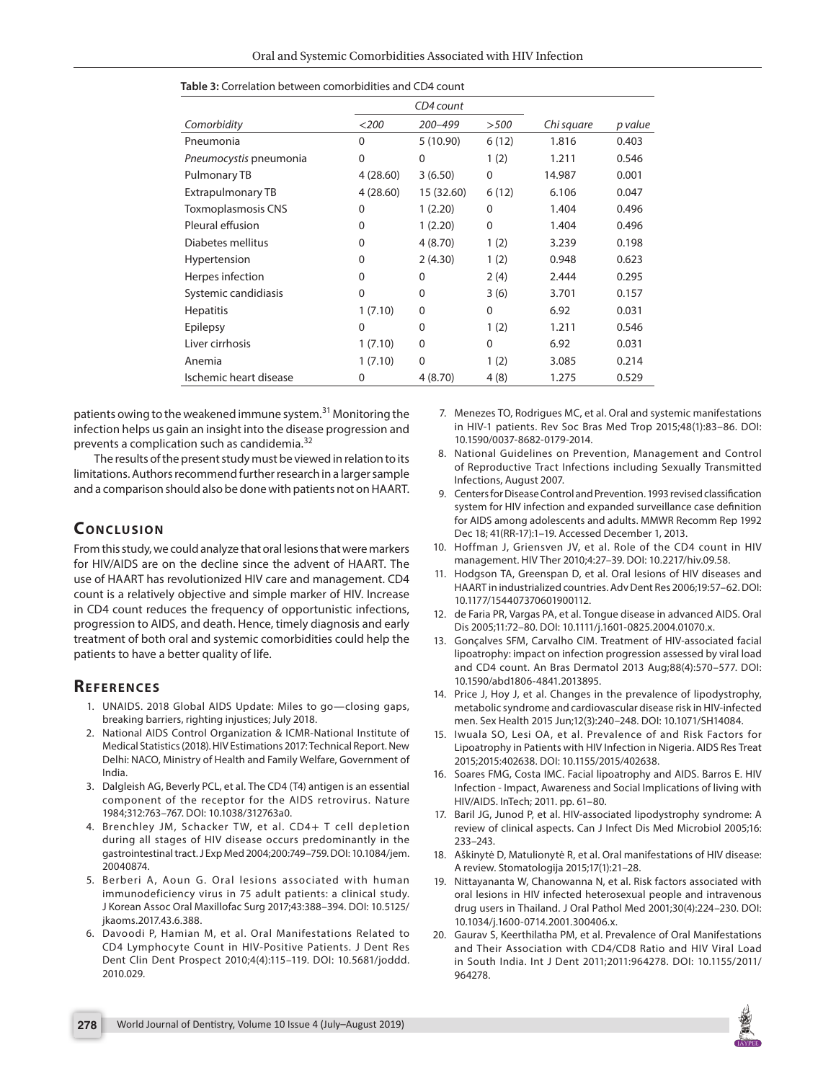|                        | CD4 count   |             |             |            |         |
|------------------------|-------------|-------------|-------------|------------|---------|
| Comorbidity            | $<$ 200     | 200-499     | >500        | Chi square | p value |
| Pneumonia              | $\mathbf 0$ | 5(10.90)    | 6(12)       | 1.816      | 0.403   |
| Pneumocystis pneumonia | 0           | 0           | 1(2)        | 1.211      | 0.546   |
| Pulmonary TB           | 4(28.60)    | 3(6.50)     | $\mathbf 0$ | 14.987     | 0.001   |
| Extrapulmonary TB      | 4(28.60)    | 15 (32.60)  | 6(12)       | 6.106      | 0.047   |
| Toxmoplasmosis CNS     | $\Omega$    | 1(2.20)     | 0           | 1.404      | 0.496   |
| Pleural effusion       | 0           | 1(2.20)     | $\Omega$    | 1.404      | 0.496   |
| Diabetes mellitus      | $\Omega$    | 4(8.70)     | 1(2)        | 3.239      | 0.198   |
| <b>Hypertension</b>    | 0           | 2(4.30)     | 1(2)        | 0.948      | 0.623   |
| Herpes infection       | 0           | 0           | 2(4)        | 2.444      | 0.295   |
| Systemic candidiasis   | $\Omega$    | $\Omega$    | 3(6)        | 3.701      | 0.157   |
| <b>Hepatitis</b>       | 1(7.10)     | $\Omega$    | $\Omega$    | 6.92       | 0.031   |
| Epilepsy               | $\Omega$    | 0           | 1(2)        | 1.211      | 0.546   |
| Liver cirrhosis        | 1(7.10)     | $\mathbf 0$ | $\mathbf 0$ | 6.92       | 0.031   |
| Anemia                 | 1(7.10)     | $\mathbf 0$ | 1(2)        | 3.085      | 0.214   |
| Ischemic heart disease | 0           | 4(8.70)     | 4(8)        | 1.275      | 0.529   |

| <b>Table 3:</b> Correlation between comorbidities and CD4 count |  |
|-----------------------------------------------------------------|--|
|-----------------------------------------------------------------|--|

patients owing to the weakened immune system.<sup>31</sup> Monitoring the infection helps us gain an insight into the disease progression and prevents a complication such as candidemia.<sup>32</sup>

The results of the present study must be viewed in relation to its limitations. Authors recommend further research in a larger sample and a comparison should also be done with patients not on HAART.

# **CONCLUSION**

From this study, we could analyze that oral lesions that were markers for HIV/AIDS are on the decline since the advent of HAART. The use of HAART has revolutionized HIV care and management. CD4 count is a relatively objective and simple marker of HIV. Increase in CD4 count reduces the frequency of opportunistic infections, progression to AIDS, and death. Hence, timely diagnosis and early treatment of both oral and systemic comorbidities could help the patients to have a better quality of life.

# **REFERENCES**

- 1. UNAIDS. 2018 Global AIDS Update: Miles to go—closing gaps, breaking barriers, righting injustices; July 2018.
- 2. National AIDS Control Organization & ICMR-National Institute of Medical Statistics (2018). HIV Estimations 2017: Technical Report. New Delhi: NACO, Ministry of Health and Family Welfare, Government of India.
- 3. Dalgleish AG, Beverly PCL, et al. The CD4 (T4) antigen is an essential component of the receptor for the AIDS retrovirus. Nature 1984;312:763–767. DOI: 10.1038/312763a0.
- 4. Brenchley JM, Schacker TW, et al. CD4+ T cell depletion during all stages of HIV disease occurs predominantly in the gastrointestinal tract. J Exp Med 2004;200:749–759. DOI: 10.1084/jem. 20040874.
- 5. Berberi A, Aoun G. Oral lesions associated with human immunodeficiency virus in 75 adult patients: a clinical study. J Korean Assoc Oral Maxillofac Surg 2017;43:388–394. DOI: 10.5125/ jkaoms.2017.43.6.388.
- 6. Davoodi P, Hamian M, et al. Oral Manifestations Related to CD4 Lymphocyte Count in HIV-Positive Patients. J Dent Res Dent Clin Dent Prospect 2010;4(4):115–119. DOI: 10.5681/joddd. 2010.029.
- 7. Menezes TO, Rodrigues MC, et al. Oral and systemic manifestations in HIV-1 patients. Rev Soc Bras Med Trop 2015;48(1):83–86. DOI: 10.1590/0037-8682-0179-2014.
- 8. National Guidelines on Prevention, Management and Control of Reproductive Tract Infections including Sexually Transmitted Infections, August 2007.
- 9. Centers for Disease Control and Prevention. 1993 revised classification system for HIV infection and expanded surveillance case definition for AIDS among adolescents and adults. MMWR Recomm Rep 1992 Dec 18; 41(RR-17):1–19. Accessed December 1, 2013.
- 10. Hoffman J, Griensven JV, et al. Role of the CD4 count in HIV management. HIV Ther 2010;4:27–39. DOI: 10.2217/hiv.09.58.
- 11. Hodgson TA, Greenspan D, et al. Oral lesions of HIV diseases and HAART in industrialized countries. Adv Dent Res 2006;19:57–62. DOI: 10.1177/154407370601900112.
- 12. de Faria PR, Vargas PA, et al. Tongue disease in advanced AIDS. Oral Dis 2005;11:72–80. DOI: 10.1111/j.1601-0825.2004.01070.x.
- 13. Gonçalves SFM, Carvalho CIM. Treatment of HIV-associated facial lipoatrophy: impact on infection progression assessed by viral load and CD4 count. An Bras Dermatol 2013 Aug;88(4):570–577. DOI: 10.1590/abd1806-4841.2013895.
- 14. Price J, Hoy J, et al. Changes in the prevalence of lipodystrophy, metabolic syndrome and cardiovascular disease risk in HIV-infected men. Sex Health 2015 Jun;12(3):240–248. DOI: 10.1071/SH14084.
- 15. Iwuala SO, Lesi OA, et al. Prevalence of and Risk Factors for Lipoatrophy in Patients with HIV Infection in Nigeria. AIDS Res Treat 2015;2015:402638. DOI: 10.1155/2015/402638.
- 16. Soares FMG, Costa IMC. Facial lipoatrophy and AIDS. Barros E. HIV Infection - Impact, Awareness and Social Implications of living with HIV/AIDS. InTech; 2011. pp. 61–80.
- 17. Baril JG, Junod P, et al. HIV-associated lipodystrophy syndrome: A review of clinical aspects. Can J Infect Dis Med Microbiol 2005;16: 233–243.
- 18. Aškinytė D, Matulionytė R, et al. Oral manifestations of HIV disease: A review. Stomatologija 2015;17(1):21–28.
- 19. Nittayananta W, Chanowanna N, et al. Risk factors associated with oral lesions in HIV infected heterosexual people and intravenous drug users in Thailand. J Oral Pathol Med 2001;30(4):224–230. DOI: 10.1034/j.1600-0714.2001.300406.x.
- 20. Gaurav S, Keerthilatha PM, et al. Prevalence of Oral Manifestations and Their Association with CD4/CD8 Ratio and HIV Viral Load in South India. Int J Dent 2011;2011:964278. DOI: 10.1155/2011/ 964278.